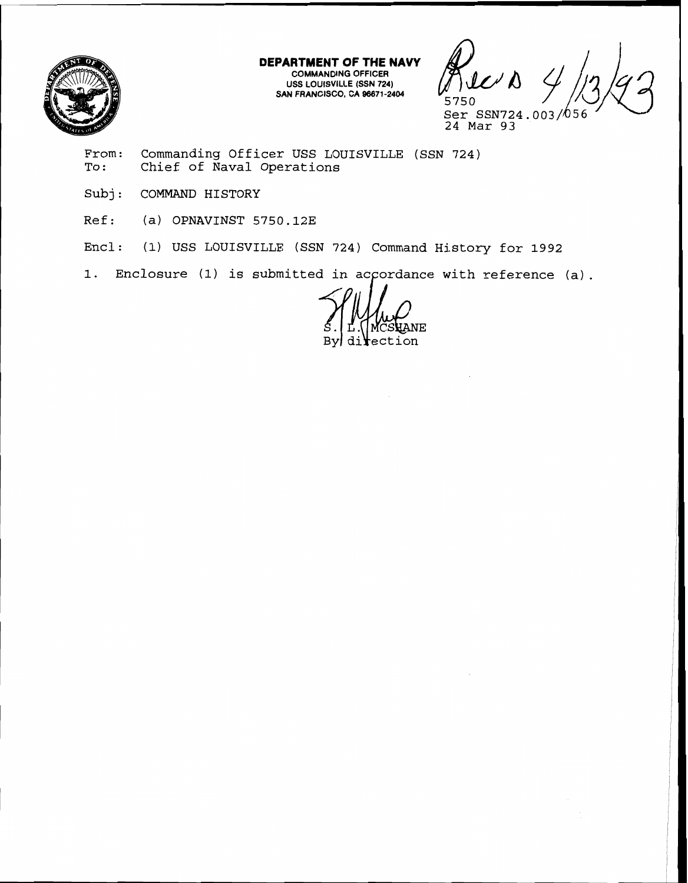

**DEPARTMENT OF THE NAVY COMMANDING OFFICER USS LOUISVILLE (SSN 724) SAN FRANCISCO, CA 96671-2404** 

Ser SSN724.003/056 **24** Mar 93

- **From: Commanding Officer USS LOUISVILLE (SSN 724) To** : **Chief of Naval Operations**
- **Subj** : **COMMAND HISTORY**
- **Ref: (a) OPNAVINST 5750.123**
- **Encl: (1) USS LOUISVILLE (SSN 724) Command History for 1992**
- 1. Enclosure (1) is submitted in accordance with reference (a).

HANE **By** divection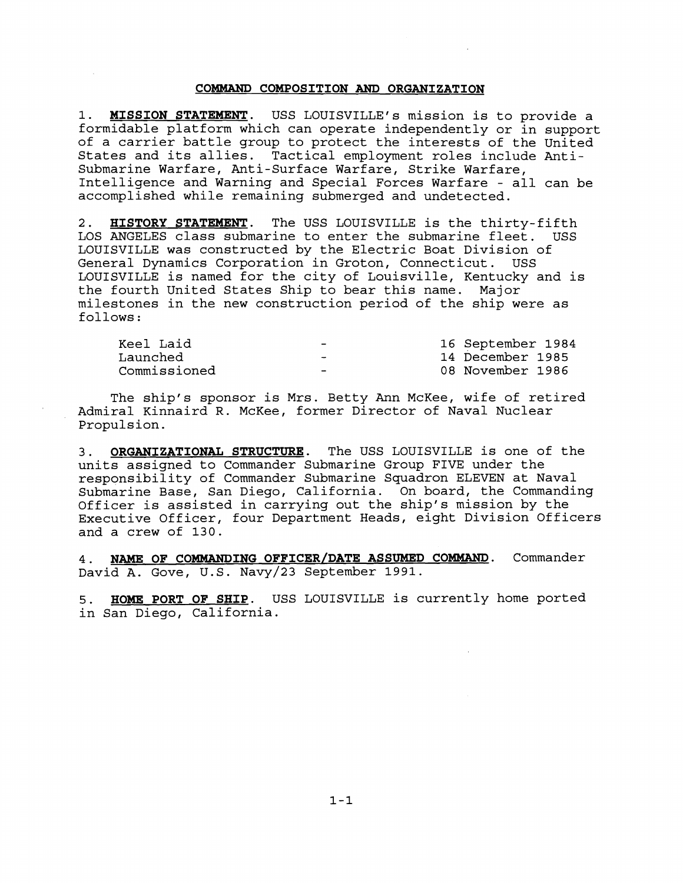## **COMMAND COMPOSITION AND ORGANIZATION**

**MISSION STATEMENT**. USS LOUISVILLE's mission is to provide a formidable platform which can operate independently or in support of a carrier battle group to protect the interests of the United States and its allies. Tactical employment roles include Antisubmarine Warfare, Anti-Surface Warfare, Strike Warfare, Intelligence and Warning and Special Forces Warfare - all can be accomplished while remaining submerged and undetected.

**2. HISTORY STATEMENT.** The USS LOUISVILLE is the thirty-fifth LOS ANGELES class submarine to enter the submarine fleet. USS LOUISVILLE was constructed by the Electric Boat Division of General Dynamics Corporation in Groton, Connecticut. USS LOUISVILLE is named for the city of Louisville, Kentucky and is the fourth United States Ship to bear this name. Major milestones in the new construction period of the ship were as follows :

| Keel Laid    | $\overline{\phantom{0}}$ | 16 September 1984 |
|--------------|--------------------------|-------------------|
| Launched     | $\overline{\phantom{a}}$ | 14 December 1985  |
| Commissioned | $\sim$                   | 08 November 1986  |

The ship's sponsor is Mrs. Betty Ann McKee, wife of retired Admiral Kinnaird R. McKee, former Director of Naval Nuclear Propulsion.

**3. ORGANIZATIONAL STRUCTURE.** The USS LOUISVILLE is one of the units assigned to Commander Submarine Group FIVE under the responsibility of Commander Submarine Squadron ELEVEN at Naval Submarine Base, San Diego, California. On board, the Commanding Officer is assisted in carrying out the ship's mission by the Executive Officer, four Department Heads, eight Division Officers and a crew of 130.

4. **NAME OF COMMANDING OFFICER/DATE ASSUMED COMMAND.** Commander David A. Gove, U.S. Navy/23 September 1991.

**5. HOME PORT OF SHIP.** USS LOUISVILLE is currently home ported in San Diego, California.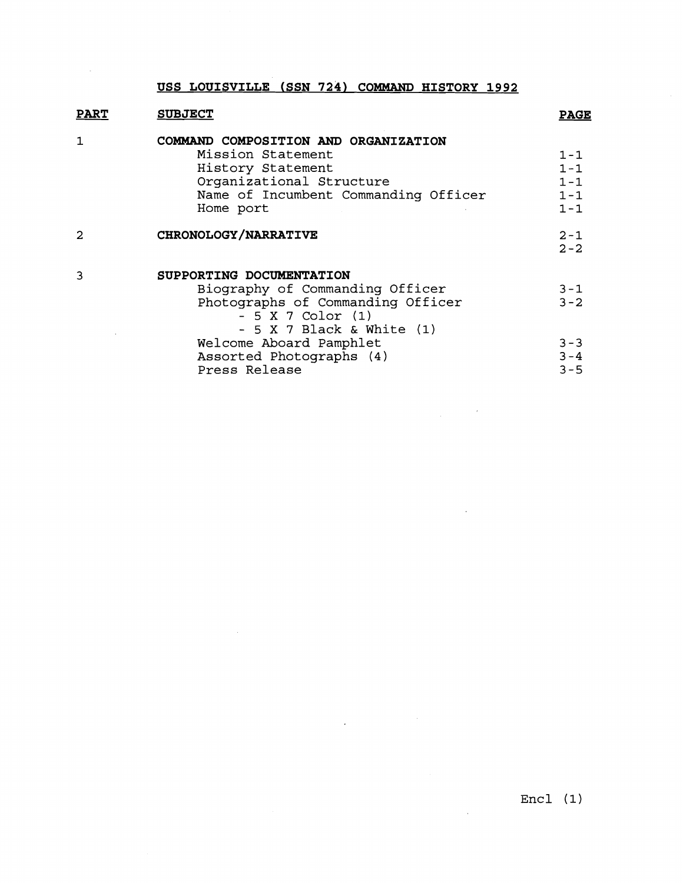**USS LOUISVILLE (SSN 724) COMMAND HISTORY 1992** 

 $\sim$ 

| <b>PART</b> | <b>SUBJECT</b>                                                                                                                                                  | <u>PAGE</u>                                         |
|-------------|-----------------------------------------------------------------------------------------------------------------------------------------------------------------|-----------------------------------------------------|
| 1           | COMMAND COMPOSITION AND ORGANIZATION<br>Mission Statement<br>History Statement<br>Organizational Structure<br>Name of Incumbent Commanding Officer<br>Home port | $1 - 1$<br>$1 - 1$<br>$1 - 1$<br>$1 - 1$<br>$1 - 1$ |
| 2           | CHRONOLOGY/NARRATIVE                                                                                                                                            | $2 - 1$<br>$2 - 2$                                  |
| 3           | SUPPORTING DOCUMENTATION<br>Biography of Commanding Officer<br>Photographs of Commanding Officer<br>$-5 X 7 Color (1)$<br>$-5 X 7 Black & White (1)$            | $3 - 1$<br>$3 - 2$                                  |
|             | Welcome Aboard Pamphlet<br>Assorted Photographs (4)<br>Press Release                                                                                            | $3 - 3$<br>$3 - 4$<br>$3 - 5$                       |

 $\mathcal{L}^{\text{max}}_{\text{max}}$ 

 $\label{eq:2.1} \frac{1}{\sqrt{2\pi}}\int_{\mathbb{R}^{2}}\left|\frac{d\mathbf{r}}{d\mathbf{r}}\right|^{2}d\mathbf{r}=\frac{1}{2}\int_{\mathbb{R}^{2}}\left|\frac{d\mathbf{r}}{d\mathbf{r}}\right|^{2}d\mathbf{r}$ 

 $\sim 10$ 

 $\sim$ 

 $\mathcal{L}_{\text{max}}$  and  $\mathcal{L}_{\text{max}}$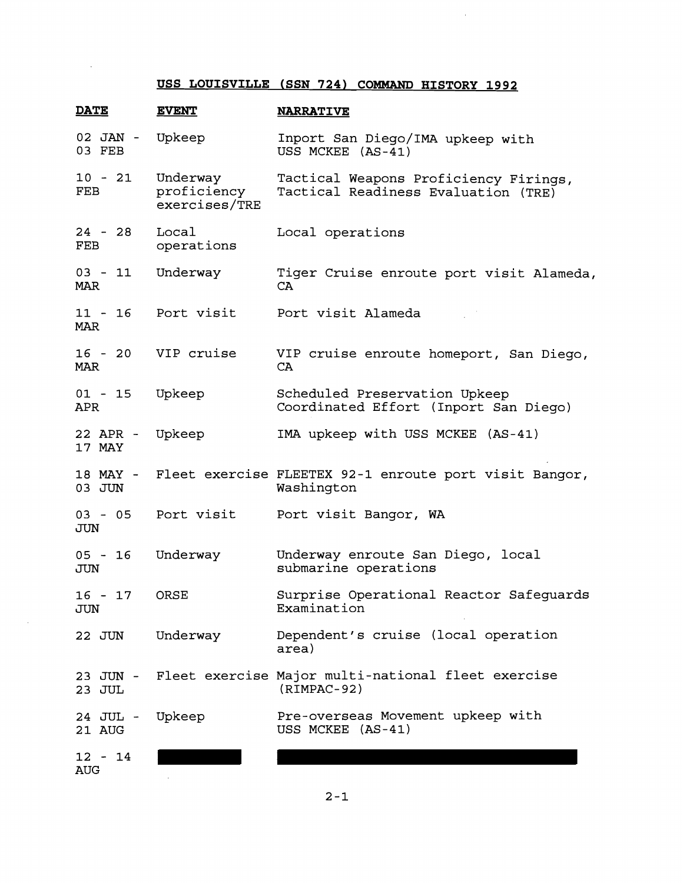## **USS LOUISVILLE (SSN 724) COMMAND HISTORY 1992**

 $\sim$   $\sim$ 

 $\sim$   $\alpha$ 

 $\sim 10$ 

| <b>DATE</b>             | <b>EVENT</b>                             | <b>NARRATIVE</b>                                                             |
|-------------------------|------------------------------------------|------------------------------------------------------------------------------|
| 02 JAN -<br>03 FEB      | Upkeep                                   | Inport San Diego/IMA upkeep with<br>USS MCKEE (AS-41)                        |
| $10 - 21$<br>FEB        | Underway<br>proficiency<br>exercises/TRE | Tactical Weapons Proficiency Firings,<br>Tactical Readiness Evaluation (TRE) |
| $24 - 28$<br>FEB        | Local<br>operations                      | Local operations                                                             |
| $03 - 11$<br>MAR        | Underway                                 | Tiger Cruise enroute port visit Alameda,<br>CA.                              |
| $11 - 16$<br>MAR        | Port visit                               | Port visit Alameda                                                           |
| $16 - 20$<br>MAR        | VIP cruise                               | VIP cruise enroute homeport, San Diego,<br>CA                                |
| $01 - 15$<br>APR        | Upkeep                                   | Scheduled Preservation Upkeep<br>Coordinated Effort (Inport San Diego)       |
| 22 APR -<br>17 MAY      | Upkeep                                   | IMA upkeep with USS MCKEE (AS-41)                                            |
| 18 MAY -<br>03 JUN      |                                          | Fleet exercise FLEETEX 92-1 enroute port visit Bangor,<br>Washington         |
| $03 - 05$<br>JUN        | Port visit                               | Port visit Bangor, WA                                                        |
| $05 - 16$<br>JUN        | Underway                                 | Underway enroute San Diego, local<br>submarine operations                    |
| $16 - 17$<br>JUN        | ORSE                                     | Surprise Operational Reactor Safequards<br>Examination                       |
| 22 JUN                  | Underway                                 | Dependent's cruise (local operation<br>area)                                 |
| 23 JUN -<br>23 JUL      |                                          | Fleet exercise Major multi-national fleet exercise<br>$(RIMPAC-92)$          |
| 24 JUL -<br>21 AUG      | Upkeep                                   | Pre-overseas Movement upkeep with<br>USS MCKEE (AS-41)                       |
| $12 - 14$<br><b>AUG</b> |                                          |                                                                              |